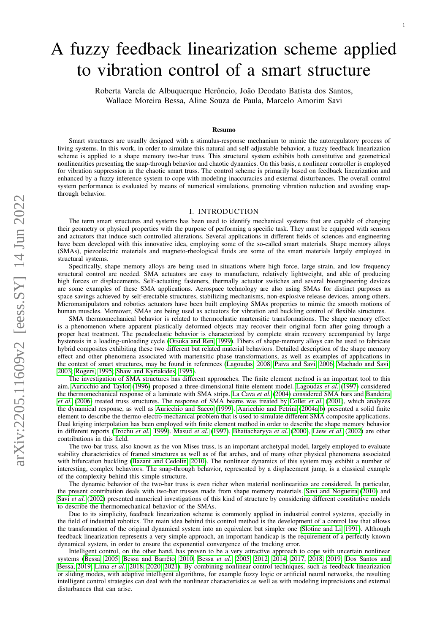# A fuzzy feedback linearization scheme applied to vibration control of a smart structure

Roberta Varela de Albuquerque Herôncio, João Deodato Batista dos Santos, Wallace Moreira Bessa, Aline Souza de Paula, Marcelo Amorim Savi

#### Resumo

Smart structures are usually designed with a stimulus-response mechanism to mimic the autoregulatory process of living systems. In this work, in order to simulate this natural and self-adjustable behavior, a fuzzy feedback linearization scheme is applied to a shape memory two-bar truss. This structural system exhibits both constitutive and geometrical nonlinearities presenting the snap-through behavior and chaotic dynamics. On this basis, a nonlinear controller is employed for vibration suppression in the chaotic smart truss. The control scheme is primarily based on feedback linearization and enhanced by a fuzzy inference system to cope with modeling inaccuracies and external disturbances. The overall control system performance is evaluated by means of numerical simulations, promoting vibration reduction and avoiding snapthrough behavior.

### I. INTRODUCTION

The term smart structures and systems has been used to identify mechanical systems that are capable of changing their geometry or physical properties with the purpose of performing a specific task. They must be equipped with sensors and actuators that induce such controlled alterations. Several applications in different fields of sciences and engineering have been developed with this innovative idea, employing some of the so-called smart materials. Shape memory alloys (SMAs), piezoelectric materials and magneto-rheological fluids are some of the smart materials largely employed in structural systems.

Specifically, shape memory alloys are being used in situations where high force, large strain, and low frequency structural control are needed. SMA actuators are easy to manufacture, relatively lightweight, and able of producing high forces or displacements. Self-actuating fasteners, thermally actuator switches and several bioengineering devices are some examples of these SMA applications. Aerospace technology are also using SMAs for distinct purposes as space savings achieved by self-erectable structures, stabilizing mechanisms, non-explosive release devices, among others. Micromanipulators and robotics actuators have been built employing SMAs properties to mimic the smooth motions of human muscles. Moreover, SMAs are being used as actuators for vibration and buckling control of flexible structures.

SMA thermomechanical behavior is related to thermoelastic martensitic transformations. The shape memory effect is a phenomenon where apparent plastically deformed objects may recover their original form after going through a proper heat treatment. The pseudoelastic behavior is characterized by complete strain recovery accompanied by large hysteresis in a loading-unloading cycle [\(Otsuka and Ren, 1999\)](#page-6-0). Fibers of shape-memory alloys can be used to fabricate hybrid composites exhibiting these two different but related material behaviors. Detailed description of the shape memory effect and other phenomena associated with martensitic phase transformations, as well as examples of applications in the context of smart structures, may be found in references [\(Lagoudas, 2008;](#page-6-1) [Paiva and Savi, 2006;](#page-6-2) [Machado and Savi,](#page-6-3) [2003;](#page-6-3) [Rogers, 1995;](#page-6-4) [Shaw and Kyriakides, 1995\)](#page-7-0).

The investigation of SMA structures has different approaches. The finite element method is an important tool to this aim. [Auricchio and Taylor](#page-6-5) [\(1996\)](#page-6-5) proposed a three-dimensional finite element model. [Lagoudas](#page-6-6) *et al.* [\(1997\)](#page-6-6) considered the thermomechanical response of a laminate with SMA strips. [La Cava](#page-6-7) *et al.* [\(2004\)](#page-6-7) considered SMA bars and [Bandeira](#page-6-8) *[et al.](#page-6-8)* [\(2006\)](#page-6-8) treated truss structures. The response of SMA beams was treated by [Collet](#page-6-9) *et al.* [\(2001\)](#page-6-9), which analyzes the dynamical response, as well as [Auricchio and Sacco](#page-6-10) [\(1999\)](#page-6-10). [Auricchio and Petrini](#page-6-11) [\(2004a,](#page-6-11)[b\)](#page-6-12) presented a solid finite element to describe the thermo-electro-mechanical problem that is used to simulate different SMA composite applications. Dual kriging interpolation has been employed with finite element method in order to describe the shape memory behavior in different reports [\(Trochu](#page-7-1) *et al.*, [1999\)](#page-7-1). [Masud](#page-6-13) *et al.* [\(1997\)](#page-6-13), [Bhattacharyya](#page-6-14) *et al.* [\(2000\)](#page-6-14), [Liew](#page-6-15) *et al.* [\(2002\)](#page-6-15) are other contributions in this field.

The two-bar truss, also known as the von Mises truss, is an important archetypal model, largely employed to evaluate stability characteristics of framed structures as well as of flat arches, and of many other physical phenomena associated with bifurcation buckling [\(Bazant and Cedolin, 2010\)](#page-6-16). The nonlinear dynamics of this system may exhibit a number of interesting, complex behaviors. The snap-through behavior, represented by a displacement jump, is a classical example of the complexity behind this simple structure.

The dynamic behavior of the two-bar truss is even richer when material nonlinearities are considered. In particular, the present contribution deals with two-bar trusses made from shape memory materials. [Savi and Nogueira](#page-7-2) [\(2010\)](#page-7-2) and Savi *[et al.](#page-7-3)* [\(2002\)](#page-7-3) presented numerical investigations of this kind of structure by considering different constitutive models to describe the thermomechanical behavior of the SMAs.

Due to its simplicity, feedback linearization scheme is commonly applied in industrial control systems, specially in the field of industrial robotics. The main idea behind this control method is the development of a control law that allows the transformation of the original dynamical system into an equivalent but simpler one [\(Slotine and Li, 1991\)](#page-7-4). Although feedback linearization represents a very simple approach, an important handicap is the requirement of a perfectly known dynamical system, in order to ensure the exponential convergence of the tracking error.

Intelligent control, on the other hand, has proven to be a very attractive approach to cope with uncertain nonlinear systems [\(Bessa, 2005;](#page-6-17) [Bessa and Barrêto, 2010;](#page-6-18) [Bessa](#page-6-19) *et al.*, [2005,](#page-6-19) [2012,](#page-6-20) [2014,](#page-6-21) [2017,](#page-6-22) [2018,](#page-6-23) [2019;](#page-6-24) [Dos Santos and](#page-6-25) [Bessa, 2019;](#page-6-25) [Lima](#page-6-26) *et al.*, [2018,](#page-6-26) [2020,](#page-6-27) [2021\)](#page-6-28). By combining nonlinear control techniques, such as feedback linearization or sliding modes, with adaptive intelligent algorithms, for example fuzzy logic or artificial neural networks, the resulting intelligent control strategies can deal with the nonlinear characteristics as well as with modeling imprecisions and external disturbances that can arise.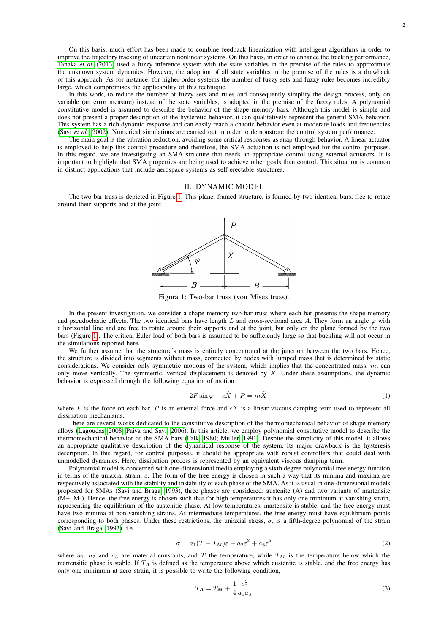On this basis, much effort has been made to combine feedback linearization with intelligent algorithms in order to improve the trajectory tracking of uncertain nonlinear systems. On this basis, in order to enhance the tracking performance, [Tanaka](#page-7-5) *et al.* [\(2013\)](#page-7-5) used a fuzzy inference system with the state variables in the premise of the rules to approximate the unknown system dynamics. However, the adoption of all state variables in the premise of the rules is a drawback of this approach. As for instance, for higher-order systems the number of fuzzy sets and fuzzy rules becomes incredibly large, which compromises the applicability of this technique.

In this work, to reduce the number of fuzzy sets and rules and consequently simplify the design process, only on variable (an error measure) instead of the state variables, is adopted in the premise of the fuzzy rules. A polynomial constitutive model is assumed to describe the behavior of the shape memory bars. Although this model is simple and does not present a proper description of the hysteretic behavior, it can qualitatively represent the general SMA behavior. This system has a rich dynamic response and can easily reach a chaotic behavior even at moderate loads and frequencies (Savi *[et al.](#page-7-3)*, [2002\)](#page-7-3). Numerical simulations are carried out in order to demonstrate the control system performance.

The main goal is the vibration reduction, avoiding some critical responses as snap-through behavior. A linear actuator is employed to help this control procedure and therefore, the SMA actuation is not employed for the control purposes. In this regard, we are investigating an SMA structure that needs an appropriate control using external actuators. It is important to highlight that SMA properties are being used to achieve other goals than control. This situation is common in distinct applications that include aerospace systems as self-erectable structures.

## II. DYNAMIC MODEL

<span id="page-1-0"></span>The two-bar truss is depicted in Figure [1.](#page-1-0) This plane, framed structure, is formed by two identical bars, free to rotate around their supports and at the joint.



Figura 1: Two-bar truss (von Mises truss).

In the present investigation, we consider a shape memory two-bar truss where each bar presents the shape memory and pseudoelastic effects. The two identical bars have length L and cross-sectional area A. They form an angle  $\varphi$  with a horizontal line and are free to rotate around their supports and at the joint, but only on the plane formed by the two bars (Figure [1\)](#page-1-0). The critical Euler load of both bars is assumed to be sufficiently large so that buckling will not occur in the simulations reported here.

We further assume that the structure's mass is entirely concentrated at the junction between the two bars. Hence, the structure is divided into segments without mass, connected by nodes with lumped mass that is determined by static considerations. We consider only symmetric motions of the system, which implies that the concentrated mass,  $m$ , can only move vertically. The symmetric, vertical displacement is denoted by  $X$ . Under these assumptions, the dynamic behavior is expressed through the following equation of motion

<span id="page-1-2"></span>
$$
-2F\sin\varphi - c\dot{X} + P = m\ddot{X}
$$
 (1)

where F is the force on each bar, P is an external force and  $c\dot{x}$  is a linear viscous damping term used to represent all dissipation mechanisms.

There are several works dedicated to the constitutive description of the thermomechanical behavior of shape memory alloys [\(Lagoudas, 2008;](#page-6-1) [Paiva and Savi, 2006\)](#page-6-2). In this article, we employ polynomial constitutive model to describe the thermomechanical behavior of the SMA bars [\(Falk, 1980;](#page-6-29) [Muller, 1991\)](#page-6-30). Despite the simplicity of this model, it allows an appropriate qualitative description of the dynamical response of the system. Its major drawback is the hysteresis description. In this regard, for control purposes, it should be appropriate with robust controllers that could deal with unmodelled dynamics. Here, dissipation process is represented by an equivalent viscous damping term.

Polynomial model is concerned with one-dimensional media employing a sixth degree polynomial free energy function in terms of the uniaxial strain,  $\varepsilon$ . The form of the free energy is chosen in such a way that its minima and maxima are respectively associated with the stability and instability of each phase of the SMA. As it is usual in one-dimensional models proposed for SMAs [\(Savi and Braga, 1993\)](#page-7-6), three phases are considered: austenite (A) and two variants of martensite (M+, M-). Hence, the free energy is chosen such that for high temperatures it has only one minimum at vanishing strain, representing the equilibrium of the austenitic phase. At low temperatures, martensite is stable, and the free energy must have two minima at non-vanishing strains. At intermediate temperatures, the free energy must have equilibrium points corresponding to both phases. Under these restrictions, the uniaxial stress,  $\sigma$ , is a fifth-degree polynomial of the strain [\(Savi and Braga, 1993\)](#page-7-6), i.e.

<span id="page-1-1"></span>
$$
\sigma = a_1(T - T_M)\varepsilon - a_2\varepsilon^3 + a_3\varepsilon^5 \tag{2}
$$

where  $a_1$ ,  $a_2$  and  $a_3$  are material constants, and T the temperature, while  $T_M$  is the temperature below which the martensitic phase is stable. If  $T_A$  is defined as the temperature above which austenite is stable, and the free energy has only one minimum at zero strain, it is possible to write the following condition,

$$
T_A = T_M + \frac{1}{4} \frac{a_2^2}{a_1 a_3} \tag{3}
$$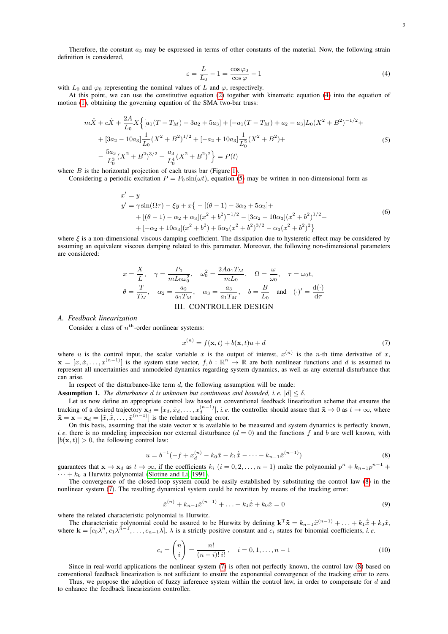Therefore, the constant  $a_3$  may be expressed in terms of other constants of the material. Now, the following strain definition is considered,

<span id="page-2-0"></span>
$$
\varepsilon = \frac{L}{L_0} - 1 = \frac{\cos \varphi_0}{\cos \varphi} - 1\tag{4}
$$

with  $L_0$  and  $\varphi_0$  representing the nominal values of L and  $\varphi$ , respectively.

At this point, we can use the constitutive equation [\(2\)](#page-1-1) together with kinematic equation [\(4\)](#page-2-0) into the equation of motion [\(1\)](#page-1-2), obtaining the governing equation of the SMA two-bar truss:

$$
m\ddot{X} + c\dot{X} + \frac{2A}{L_0} X \Big\{ [a_1(T - T_M) - 3a_2 + 5a_3] + [-a_1(T - T_M) + a_2 - a_3] L_0 (X^2 + B^2)^{-1/2} +
$$
  
+  $[3a_2 - 10a_3] \frac{1}{L_0} (X^2 + B^2)^{1/2} + [-a_2 + 10a_3] \frac{1}{L_0^2} (X^2 + B^2) +$   
-  $\frac{5a_3}{L_0^3} (X^2 + B^2)^{3/2} + \frac{a_3}{L_0^4} (X^2 + B^2)^2 \Big\} = P(t)$  (5)

<span id="page-2-1"></span>where  $B$  is the horizontal projection of each truss bar (Figure [1\)](#page-1-0).

Considering a periodic excitation  $P = P_0 \sin(\omega t)$ , equation [\(5\)](#page-2-1) may be written in non-dimensional form as

$$
x' = y
$$
  
\n
$$
y' = \gamma \sin(\Omega \tau) - \xi y + x \{-[(\theta - 1) - 3\alpha_2 + 5\alpha_3] +
$$
  
\n
$$
+ [(\theta - 1) - \alpha_2 + \alpha_3](x^2 + b^2)^{-1/2} - [3\alpha_2 - 10\alpha_3](x^2 + b^2)^{1/2} +
$$
  
\n
$$
+ [-\alpha_2 + 10\alpha_3](x^2 + b^2) + 5\alpha_3(x^2 + b^2)^{3/2} - \alpha_3(x^2 + b^2)^2 \}
$$
\n(6)

<span id="page-2-6"></span>where  $\xi$  is a non-dimensional viscous damping coefficient. The dissipation due to hysteretic effect may be considered by assuming an equivalent viscous damping related to this parameter. Moreover, the following non-dimensional parameters are considered:

$$
x = \frac{X}{L}, \quad \gamma = \frac{P_0}{mL_0\omega_0^2}, \quad \omega_0^2 = \frac{2Aa_1T_M}{mL_0}, \quad \Omega = \frac{\omega}{\omega_0}, \quad \tau = \omega_0 t,
$$
  

$$
\theta = \frac{T}{T_M}, \quad \alpha_2 = \frac{a_2}{a_1T_M}, \quad \alpha_3 = \frac{a_3}{a_1T_M}, \quad b = \frac{B}{L_0} \text{ and } (\cdot)' = \frac{d(\cdot)}{d\tau}
$$
  
III. CONTROLLER DESIGN

# *A. Feedback linearization*

Consider a class of  $n<sup>th</sup>$ -order nonlinear systems:

<span id="page-2-3"></span>
$$
x^{(n)} = f(\mathbf{x}, t) + b(\mathbf{x}, t)u + d
$$
\n<sup>(7)</sup>

where u is the control input, the scalar variable x is the output of interest,  $x^{(n)}$  is the n-th time derivative of x,  $\mathbf{x} = [x, \dot{x}, \dots, x^{(n-1)}]$  is the system state vector,  $f, b : \mathbb{R}^n \to \mathbb{R}$  are both nonlinear functions and d is assumed to represent all uncertainties and unmodeled dynamics regarding system dynamics, as well as any external disturbance that can arise.

In respect of the disturbance-like term  $d$ , the following assumption will be made:

<span id="page-2-4"></span>**Assumption 1.** *The disturbance* d *is unknown but continuous and bounded, i.e.*  $|d| < \delta$ *.* 

Let us now define an appropriate control law based on conventional feedback linearization scheme that ensures the tracking of a desired trajectory  $\mathbf{x}_d = [x_d, \dot{x}_d, \dots, x_d^{(n-1)}]$ , *i.e.* the controller should assure that  $\tilde{\mathbf{x}} \to 0$  as  $t \to \infty$ , where  $\tilde{\mathbf{x}} = \mathbf{x} - \mathbf{x}_d = [\tilde{x}, \dot{\tilde{x}}, \dots, \tilde{x}^{(n-1)}]$  is the related tracking error.

On this basis, assuming that the state vector  $x$  is available to be measured and system dynamics is perfectly known, *i. e.* there is no modeling imprecision nor external disturbance  $(d = 0)$  and the functions f and b are well known, with  $|b(\mathbf{x}, t)| > 0$ , the following control law:

<span id="page-2-2"></span>
$$
u = b^{-1}(-f + x_d^{(n)} - k_0 \tilde{x} - k_1 \dot{\tilde{x}} - \dots - k_{n-1} \tilde{x}^{(n-1)})
$$
\n(8)

guarantees that  $\mathbf{x} \to \mathbf{x}_d$  as  $t \to \infty$ , if the coefficients  $k_i$   $(i = 0, 2, \dots, n-1)$  make the polynomial  $p^n + k_{n-1}p^{n-1}$  +  $+ k_0$  a Hurwitz polynomial [\(Slotine and Li, 1991\)](#page-7-4).

The convergence of the closed-loop system could be easily established by substituting the control law [\(8\)](#page-2-2) in the nonlinear system [\(7\)](#page-2-3). The resulting dynamical system could be rewritten by means of the tracking error:

$$
\tilde{x}^{(n)} + k_{n-1}\tilde{x}^{(n-1)} + \ldots + k_1\dot{\tilde{x}} + k_0\tilde{x} = 0
$$
\n(9)

where the related characteristic polynomial is Hurwitz.

The characteristic polynomial could be assured to be Hurwitz by defining  $\mathbf{k}^T \tilde{\mathbf{x}} = k_{n-1} \tilde{x}^{(n-1)} + \ldots + k_1 \tilde{x} + k_0 \tilde{x}$ , where  $\mathbf{k} = [c_0 \lambda^n, c_1 \lambda^{n-1}, \dots, c_{n-1} \lambda], \lambda$  is a strictly positive constant and  $c_i$  states for binomial coefficients, *i.e.* 

<span id="page-2-5"></span>
$$
c_i = \binom{n}{i} = \frac{n!}{(n-i)! \, i!}, \quad i = 0, 1, \dots, n-1 \tag{10}
$$

Since in real-world applications the nonlinear system [\(7\)](#page-2-3) is often not perfectly known, the control law [\(8\)](#page-2-2) based on conventional feedback linearization is not sufficient to ensure the exponential convergence of the tracking error to zero.

Thus, we propose the adoption of fuzzy inference system within the control law, in order to compensate for  $d$  and to enhance the feedback linearization controller.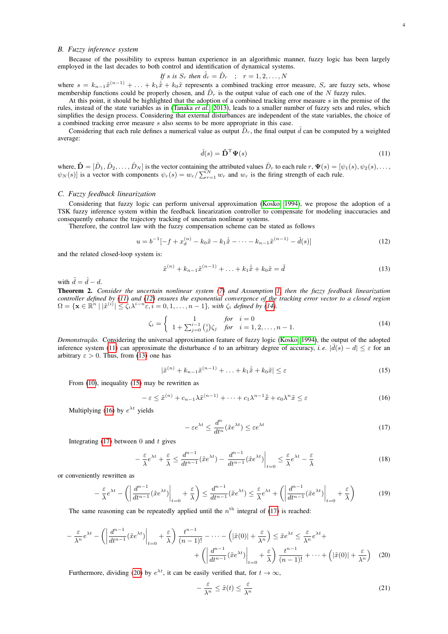#### *B. Fuzzy inference system*

Because of the possibility to express human experience in an algorithmic manner, fuzzy logic has been largely employed in the last decades to both control and identification of dynamical systems.

If s is 
$$
S_r
$$
 then  $\hat{d}_r = \hat{D}_r$  ;  $r = 1, 2, ..., N$ 

where  $s = k_{n-1}\tilde{x}^{(n-1)} + \ldots + k_1\dot{\tilde{x}} + k_0\tilde{x}$  represents a combined tracking error measure,  $S_r$  are fuzzy sets, whose membership functions could be properly chosen, and  $\hat{D}_r$  is the output value of each one of the N fuzzy rules.

At this point, it should be highlighted that the adoption of a combined tracking error measure s in the premise of the rules, instead of the state variables as in [\(Tanaka](#page-7-5) *et al.*, [2013\)](#page-7-5), leads to a smaller number of fuzzy sets and rules, which simplifies the design process. Considering that external disturbances are independent of the state variables, the choice of a combined tracking error measure s also seems to be more appropriate in this case.

Considering that each rule defines a numerical value as output  $\hat{D}_r$ , the final output  $\hat{d}$  can be computed by a weighted average:

<span id="page-3-0"></span>
$$
\hat{d}(s) = \hat{\mathbf{D}}^{\mathrm{T}} \mathbf{\Psi}(s) \tag{11}
$$

where,  $\hat{\mathbf{D}} = [\hat{D}_1, \hat{D}_2, \dots, \hat{D}_N]$  is the vector containing the attributed values  $\hat{D}_r$  to each rule  $r, \Psi(s) = [\psi_1(s), \psi_2(s), \dots, \psi_N(s)]$  $\psi_N(s)$  is a vector with components  $\psi_r(s) = w_r / \sum_{r=1}^N w_r$  and  $w_r$  is the firing strength of each rule.

## *C. Fuzzy feedback linearization*

Considering that fuzzy logic can perform universal approximation [\(Kosko, 1994\)](#page-6-31), we propose the adoption of a TSK fuzzy inference system within the feedback linearization controller to compensate for modeling inaccuracies and consequently enhance the trajectory tracking of uncertain nonlinear systems.

Therefore, the control law with the fuzzy compensation scheme can be stated as follows

<span id="page-3-1"></span>
$$
u = b^{-1}[-f + x_d^{(n)} - k_0 \tilde{x} - k_1 \dot{\tilde{x}} - \dots - k_{n-1} \tilde{x}^{(n-1)} - \hat{d}(s)]
$$
\n(12)

and the related closed-loop system is:

<span id="page-3-3"></span>
$$
\tilde{x}^{(n)} + k_{n-1}\tilde{x}^{(n-1)} + \ldots + k_1\dot{\tilde{x}} + k_0\tilde{x} = \tilde{d}
$$
\n(13)

with  $\tilde{d} = \hat{d} - d$ .

<span id="page-3-9"></span>Theorem 2. *Consider the uncertain nonlinear system [\(7\)](#page-2-3) and Assumption [1,](#page-2-4) then the fuzzy feedback linearization controller defined by [\(11\)](#page-3-0) and [\(12\)](#page-3-1) ensures the exponential convergence of the tracking error vector to a closed region*  $\Omega = {\mathbf{x} \in \mathbb{R}^n \mid |\tilde{x}^{(i)}| \leq \zeta_i \lambda^{i-n} \varepsilon, i = 0, 1, \ldots, n-1}$ , with  $\zeta_i$  defined by [\(14\)](#page-3-2).

<span id="page-3-2"></span>
$$
\zeta_i = \begin{cases}\n1 & \text{for } i = 0 \\
1 + \sum_{j=0}^{i-1} {i \choose j} \zeta_j & \text{for } i = 1, 2, ..., n-1.\n\end{cases}
$$
\n(14)

*Demonstração.* Considering the universal approximation feature of fuzzy logic [\(Kosko, 1994\)](#page-6-31), the output of the adopted inference system [\(11\)](#page-3-0) can approximate the disturbance d to an arbitrary degree of accuracy, *i.e.*  $|\hat{d}(s) - d| \leq \varepsilon$  for an arbitrary  $\varepsilon > 0$ . Thus, from [\(13\)](#page-3-3) one has

<span id="page-3-4"></span>
$$
|\tilde{x}^{(n)} + k_{n-1}\tilde{x}^{(n-1)} + \ldots + k_1\dot{\tilde{x}} + k_0\tilde{x}| \le \varepsilon
$$
\n(15)

From [\(10\)](#page-2-5), inequality [\(15\)](#page-3-4) may be rewritten as

<span id="page-3-5"></span>
$$
-\varepsilon \le \tilde{x}^{(n)} + c_{n-1}\lambda \tilde{x}^{(n-1)} + \dots + c_1\lambda^{n-1}\dot{\tilde{x}} + c_0\lambda^n \tilde{x} \le \varepsilon
$$
\n(16)

Multiplying [\(16\)](#page-3-5) by  $e^{\lambda t}$  yields

<span id="page-3-6"></span>
$$
-\varepsilon e^{\lambda t} \le \frac{d^n}{dt^n} (\tilde{x}e^{\lambda t}) \le \varepsilon e^{\lambda t} \tag{17}
$$

Integrating  $(17)$  between 0 and t gives

$$
-\frac{\varepsilon}{\lambda}e^{\lambda t} + \frac{\varepsilon}{\lambda} \le \frac{d^{n-1}}{dt^{n-1}}(\tilde{x}e^{\lambda t}) - \frac{d^{n-1}}{dt^{n-1}}(\tilde{x}e^{\lambda t})\bigg|_{t=0} \le \frac{\varepsilon}{\lambda}e^{\lambda t} - \frac{\varepsilon}{\lambda}
$$
(18)

or conveniently rewritten as

$$
-\frac{\varepsilon}{\lambda}e^{\lambda t} - \left(\left|\frac{d^{n-1}}{dt^{n-1}}(\tilde{x}e^{\lambda t})\right|_{t=0} + \frac{\varepsilon}{\lambda}\right) \le \frac{d^{n-1}}{dt^{n-1}}(\tilde{x}e^{\lambda t}) \le \frac{\varepsilon}{\lambda}e^{\lambda t} + \left(\left|\frac{d^{n-1}}{dt^{n-1}}(\tilde{x}e^{\lambda t})\right|_{t=0} + \frac{\varepsilon}{\lambda}\right) \tag{19}
$$

The same reasoning can be repeatedly applied until the  $n<sup>th</sup>$  integral of [\(17\)](#page-3-6) is reached:

$$
-\frac{\varepsilon}{\lambda^n}e^{\lambda t} - \left(\left|\frac{d^{n-1}}{dt^{n-1}}(\tilde{x}e^{\lambda t})\right|_{t=0} + \frac{\varepsilon}{\lambda}\right)\frac{t^{n-1}}{(n-1)!} - \dots - \left(|\tilde{x}(0)| + \frac{\varepsilon}{\lambda^n}\right) \le \tilde{x}e^{\lambda t} \le \frac{\varepsilon}{\lambda^n}e^{\lambda t} + \left(\left|\frac{d^{n-1}}{dt^{n-1}}(\tilde{x}e^{\lambda t})\right|_{t=0} + \frac{\varepsilon}{\lambda}\right)\frac{t^{n-1}}{(n-1)!} + \dots + \left(|\tilde{x}(0)| + \frac{\varepsilon}{\lambda^n}\right) \tag{20}
$$

Furthermore, dividing [\(20\)](#page-3-7) by  $e^{\lambda t}$ , it can be easily verified that, for  $t \to \infty$ ,

<span id="page-3-8"></span><span id="page-3-7"></span>
$$
-\frac{\varepsilon}{\lambda^n} \le \tilde{x}(t) \le \frac{\varepsilon}{\lambda^n} \tag{21}
$$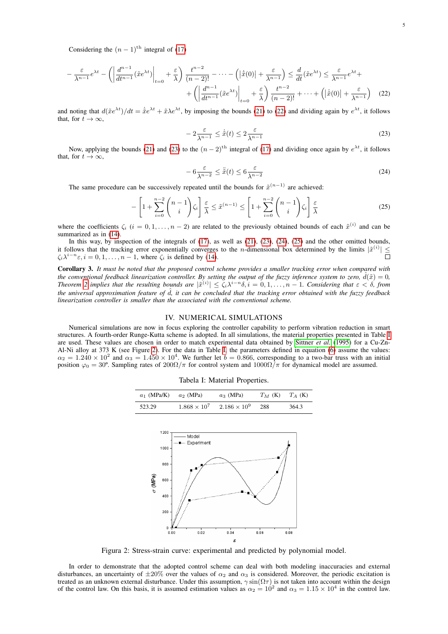Considering the  $(n - 1)$ <sup>th</sup> integral of [\(17\)](#page-3-6)

$$
-\frac{\varepsilon}{\lambda^{n-1}}e^{\lambda t} - \left(\left|\frac{d^{n-1}}{dt^{n-1}}(\tilde{x}e^{\lambda t})\right|_{t=0} + \frac{\varepsilon}{\lambda}\right)\frac{t^{n-2}}{(n-2)!} - \dots - \left(|\dot{x}(0)| + \frac{\varepsilon}{\lambda^{n-1}}\right) \le \frac{d}{dt}(\tilde{x}e^{\lambda t}) \le \frac{\varepsilon}{\lambda^{n-1}}e^{\lambda t} + \left(\left|\frac{d^{n-1}}{dt^{n-1}}(\tilde{x}e^{\lambda t})\right|_{t=0} + \frac{\varepsilon}{\lambda}\right)\frac{t^{n-2}}{(n-2)!} + \dots + \left(|\dot{x}(0)| + \frac{\varepsilon}{\lambda^{n-1}}\right) \tag{22}
$$

and noting that  $d(\tilde{x}e^{\lambda t})/dt = \dot{\tilde{x}}e^{\lambda t} + \tilde{x}\lambda e^{\lambda t}$ , by imposing the bounds [\(21\)](#page-3-8) to [\(22\)](#page-4-0) and dividing again by  $e^{\lambda t}$ , it follows that, for  $t \to \infty$ ,

<span id="page-4-1"></span><span id="page-4-0"></span>
$$
-2\frac{\varepsilon}{\lambda^{n-1}} \le \dot{\tilde{x}}(t) \le 2\frac{\varepsilon}{\lambda^{n-1}}
$$
\n(23)

Now, applying the bounds [\(21\)](#page-3-8) and [\(23\)](#page-4-1) to the  $(n-2)$ <sup>th</sup> integral of [\(17\)](#page-3-6) and dividing once again by  $e^{\lambda t}$ , it follows that, for  $t \to \infty$ .

<span id="page-4-2"></span>
$$
-6\frac{\varepsilon}{\lambda^{n-2}} \le \tilde{x}(t) \le 6\frac{\varepsilon}{\lambda^{n-2}}
$$
\n(24)

The same procedure can be successively repeated until the bounds for  $\tilde{x}^{(n-1)}$  are achieved:

<span id="page-4-3"></span>
$$
-\left[1+\sum_{i=0}^{n-2} \binom{n-1}{i} \zeta_i\right] \frac{\varepsilon}{\lambda} \le \tilde{x}^{(n-1)} \le \left[1+\sum_{i=0}^{n-2} \binom{n-1}{i} \zeta_i\right] \frac{\varepsilon}{\lambda}
$$
(25)

where the coefficients  $\zeta_i$  ( $i = 0, 1, \ldots, n-2$ ) are related to the previously obtained bounds of each  $\tilde{x}^{(i)}$  and can be summarized as in [\(14\)](#page-3-2).<br>In this way, by inspection of the integrals of (17), as well as (21), (23), (24), (25) and the other omitted bounds,

In this way, by inspection of the integrals of [\(17\)](#page-3-6), as well as [\(21\)](#page-3-8), [\(23\)](#page-4-1), [\(24\)](#page-4-2), [\(25\)](#page-4-3) and the other omitted bounds, it follows that the tracking error exponentially converges to the *n*-dimensional box determined by the limits  $|\tilde{x}^{(i)}| \leq$  $\zeta_i \lambda^{i-n} \varepsilon, i = 0, 1, \dots, n-1$ , where  $\zeta_i$  is defined by [\(14\)](#page-3-2).

Corollary 3. *It must be noted that the proposed control scheme provides a smaller tracking error when compared with the conventional feedback linearization controller. By setting the output of the fuzzy inference system to zero,*  $\hat{d}(\tilde{x}) = 0$ , *Theorem* [2](#page-3-9) implies that the resulting bounds are  $|\tilde{x}^{(i)}| \leq \zeta_i \lambda^{i-n} \delta, i = 0, 1, \ldots, n-1$ . Considering that  $\varepsilon < \delta$ , from *the universal approximation feature of*  $\hat{d}$ *, it can be concluded that the tracking error obtained with the fuzzy feedback linearization controller is smaller than the associated with the conventional scheme.*

### IV. NUMERICAL SIMULATIONS

<span id="page-4-4"></span>Numerical simulations are now in focus exploring the controller capability to perform vibration reduction in smart structures. A fourth-order Runge-Kutta scheme is adopted. In all simulations, the material properties presented in Table [I](#page-4-4) are used. These values are chosen in order to match experimental data obtained by [Sittner](#page-7-7) *et al.* [\(1995\)](#page-7-7) for a Cu-Zn-Al-Ni alloy at 373 K (see Figure [2\)](#page-4-5). For the data in Table [I,](#page-4-4) the parameters defined in equation [\(6\)](#page-2-6) assume the values:  $\alpha_2 = 1.240 \times 10^2$  and  $\alpha_3 = 1.450 \times 10^4$ . We further let  $b = 0.866$ , corresponding to a two-bar truss with an initial position  $\varphi_0 = 30^\circ$ . Sampling rates of  $200\Omega/\pi$  for control system and  $1000\Omega/\pi$  for dynamical model are assumed.

|  |  | Tabela I: Material Properties. |
|--|--|--------------------------------|
|--|--|--------------------------------|

| $a_1$ (MPa/K) $a_2$ (MPa) |                       | $a_3$ (MPa)           | $T_M$ (K) $T_A$ (K) |       |
|---------------------------|-----------------------|-----------------------|---------------------|-------|
| 523.29                    | $1.868 \times 10^{7}$ | $2.186 \times 10^{9}$ | 288                 | 364.3 |

<span id="page-4-5"></span>

Figura 2: Stress-strain curve: experimental and predicted by polynomial model.

In order to demonstrate that the adopted control scheme can deal with both modeling inaccuracies and external disturbances, an uncertainty of  $\pm 20\%$  over the values of  $\alpha_2$  and  $\alpha_3$  is considered. Moreover, the periodic excitation is treated as an unknown external disturbance. Under this assumption,  $\gamma \sin(\Omega \tau)$  is not taken into account within the design of the control law. On this basis, it is assumed estimation values as  $\alpha_2 = 10^2$  and  $\alpha_3 = 1.15 \times 10^4$  in the control law.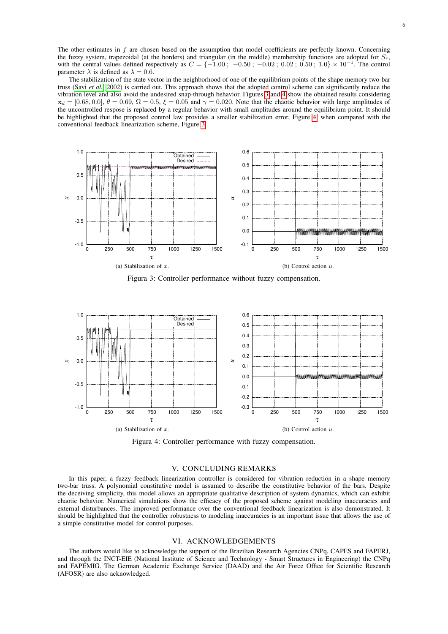The other estimates in f are chosen based on the assumption that model coefficients are perfectly known. Concerning the fuzzy system, trapezoidal (at the borders) and triangular (in the middle) membership functions are adopted for  $S_r$ , with the central values defined respectively as  $C = \{-1.00\,;\ -0.50\,;\ -0.02\,;\ 0.02\,;\ 0.50\,;\ 1.0\} \times 10^{-1}$ . The control parameter  $\lambda$  is defined as  $\lambda = 0.6$ .

The stabilization of the state vector in the neighborhood of one of the equilibrium points of the shape memory two-bar truss (Savi *[et al.](#page-7-3)*, [2002\)](#page-7-3) is carried out. This approach shows that the adopted control scheme can significantly reduce the vibration level and also avoid the undesired snap-through behavior. Figures [3](#page-5-0) and [4](#page-5-1) show the obtained results considering  $x_d = [0.68, 0.0], \theta = 0.69, \Omega = 0.5, \xi = 0.05$  and  $\gamma = 0.020$ . Note that the chaotic behavior with large amplitudes of the uncontrolled respose is replaced by a regular behavior with small amplitudes around the equilibrium point. It should be highlighted that the proposed control law provides a smaller stabilization error, Figure [4,](#page-5-1) when compared with the conventional feedback linearization scheme, Figure [3.](#page-5-0)

<span id="page-5-0"></span>

Figura 3: Controller performance without fuzzy compensation.

<span id="page-5-1"></span>

Figura 4: Controller performance with fuzzy compensation.

## V. CONCLUDING REMARKS

In this paper, a fuzzy feedback linearization controller is considered for vibration reduction in a shape memory two-bar truss. A polynomial constitutive model is assumed to describe the constitutive behavior of the bars. Despite the deceiving simplicity, this model allows an appropriate qualitative description of system dynamics, which can exhibit chaotic behavior. Numerical simulations show the efficacy of the proposed scheme against modeling inaccuracies and external disturbances. The improved performance over the conventional feedback linearization is also demonstrated. It should be highlighted that the controller robustness to modeling inaccuracies is an important issue that allows the use of a simple constitutive model for control purposes.

# VI. ACKNOWLEDGEMENTS

The authors would like to acknowledge the support of the Brazilian Research Agencies CNPq, CAPES and FAPERJ, and through the INCT-EIE (National Institute of Science and Technology - Smart Structures in Engineering) the CNPq and FAPEMIG. The German Academic Exchange Service (DAAD) and the Air Force Office for Scientific Research (AFOSR) are also acknowledged.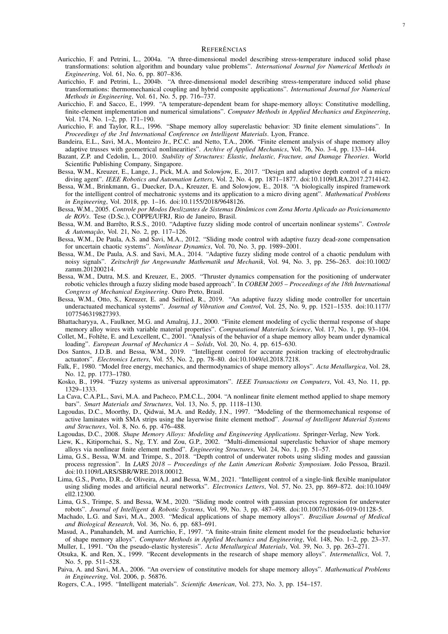## REFERÊNCIAS

- <span id="page-6-11"></span>Auricchio, F. and Petrini, L., 2004a. "A three-dimensional model describing stress-temperature induced solid phase transformations: solution algorithm and boundary value problems". *International Journal for Numerical Methods in Engineering*, Vol. 61, No. 6, pp. 807–836.
- <span id="page-6-12"></span>Auricchio, F. and Petrini, L., 2004b. "A three-dimensional model describing stress-temperature induced solid phase transformations: thermomechanical coupling and hybrid composite applications". *International Journal for Numerical Methods in Engineering*, Vol. 61, No. 5, pp. 716–737.
- <span id="page-6-10"></span>Auricchio, F. and Sacco, E., 1999. "A temperature-dependent beam for shape-memory alloys: Constitutive modelling, finite-element implementation and numerical simulations". *Computer Methods in Applied Mechanics and Engineering*, Vol. 174, No. 1–2, pp. 171–190.
- <span id="page-6-5"></span>Auricchio, F. and Taylor, R.L., 1996. "Shape memory alloy superelastic behavior: 3D finite element simulations". In *Proceedings of the 3rd International Conference on Intelligent Materials*. Lyon, France.
- <span id="page-6-8"></span>Bandeira, E.L., Savi, M.A., Monteiro Jr., P.C.C. and Netto, T.A., 2006. "Finite element analysis of shape memory alloy adaptive trusses with geometrical nonlinearities". *Archive of Applied Mechanics*, Vol. 76, No. 3-4, pp. 133–144.
- <span id="page-6-16"></span>Bazant, Z.P. and Cedolin, L., 2010. *Stability of Structures: Elastic, Inelastic, Fracture, and Damage Theories*. World Scientific Publishing Company, Singapore.
- <span id="page-6-22"></span>Bessa, W.M., Kreuzer, E., Lange, J., Pick, M.A. and Solowjow, E., 2017. "Design and adaptive depth control of a micro diving agent". *IEEE Robotics and Automation Letters*, Vol. 2, No. 4, pp. 1871–1877. doi:10.1109/LRA.2017.2714142.
- <span id="page-6-23"></span>Bessa, W.M., Brinkmann, G., Duecker, D.A., Kreuzer, E. and Solowjow, E., 2018. "A biologically inspired framework for the intelligent control of mechatronic systems and its application to a micro diving agent". *Mathematical Problems in Engineering*, Vol. 2018, pp. 1–16. doi:10.1155/2018/9648126.
- <span id="page-6-17"></span>Bessa, W.M., 2005. *Controle por Modos Deslizantes de Sistemas Dinâmicos com Zona Morta Aplicado ao Posicionamento de ROVs*. Tese (D.Sc.), COPPE/UFRJ, Rio de Janeiro, Brasil.
- <span id="page-6-18"></span>Bessa, W.M. and Barrêto, R.S.S., 2010. "Adaptive fuzzy sliding mode control of uncertain nonlinear systems". *Controle & Automação*, Vol. 21, No. 2, pp. 117–126.
- <span id="page-6-20"></span>Bessa, W.M., De Paula, A.S. and Savi, M.A., 2012. "Sliding mode control with adaptive fuzzy dead-zone compensation for uncertain chaotic systems". *Nonlinear Dynamics*, Vol. 70, No. 3, pp. 1989–2001.
- <span id="page-6-21"></span>Bessa, W.M., De Paula, A.S. and Savi, M.A., 2014. "Adaptive fuzzy sliding mode control of a chaotic pendulum with noisy signals". *Zeitschrift fur Angewandte Mathematik und Mechanik*, Vol. 94, No. 3, pp. 256–263. doi:10.1002/ zamm.201200214.
- <span id="page-6-19"></span>Bessa, W.M., Dutra, M.S. and Kreuzer, E., 2005. "Thruster dynamics compensation for the positioning of underwater robotic vehicles through a fuzzy sliding mode based approach". In *COBEM 2005 – Proceedings of the 18th International Congress of Mechanical Engineering*. Ouro Preto, Brasil.
- <span id="page-6-24"></span>Bessa, W.M., Otto, S., Kreuzer, E. and Seifried, R., 2019. "An adaptive fuzzy sliding mode controller for uncertain underactuated mechanical systems". *Journal of Vibration and Control*, Vol. 25, No. 9, pp. 1521–1535. doi:10.1177/ 1077546319827393.
- <span id="page-6-14"></span>Bhattacharyya, A., Faulkner, M.G. and Amalraj, J.J., 2000. "Finite element modeling of cyclic thermal response of shape memory alloy wires with variable material properties". *Computational Materials Science*, Vol. 17, No. 1, pp. 93–104.
- <span id="page-6-9"></span>Collet, M., Foltête, E. and Lexcellent, C., 2001. "Analysis of the behavior of a shape memory alloy beam under dynamical loading". *European Journal of Mechanics A – Solids*, Vol. 20, No. 4, pp. 615–630.
- <span id="page-6-25"></span>Dos Santos, J.D.B. and Bessa, W.M., 2019. "Intelligent control for accurate position tracking of electrohydraulic actuators". *Electronics Letters*, Vol. 55, No. 2, pp. 78–80. doi:10.1049/el.2018.7218.
- <span id="page-6-29"></span>Falk, F., 1980. "Model free energy, mechanics, and thermodynamics of shape memory alloys". *Acta Metallurgica*, Vol. 28, No. 12, pp. 1773–1780.
- <span id="page-6-31"></span>Kosko, B., 1994. "Fuzzy systems as universal approximators". *IEEE Transactions on Computers*, Vol. 43, No. 11, pp. 1329–1333.
- <span id="page-6-7"></span>La Cava, C.A.P.L., Savi, M.A. and Pacheco, P.M.C.L., 2004. "A nonlinear finite element method applied to shape memory bars". *Smart Materials and Structures*, Vol. 13, No. 5, pp. 1118–1130.
- <span id="page-6-6"></span>Lagoudas, D.C., Moorthy, D., Qidwai, M.A. and Reddy, J.N., 1997. "Modeling of the thermomechanical response of active laminates with SMA strips using the layerwise finite element method". *Journal of Intelligent Material Systems and Structures*, Vol. 8, No. 6, pp. 476–488.
- <span id="page-6-1"></span>Lagoudas, D.C., 2008. *Shape Memory Alloys: Modeling and Engineering Applications*. Springer-Verlag, New York.
- <span id="page-6-15"></span>Liew, K., Kitipornchai, S., Ng, T.Y. and Zou, G.P., 2002. "Multi-dimensional superelastic behavior of shape memory alloys via nonlinear finite element method". *Engineering Structures*, Vol. 24, No. 1, pp. 51–57.
- <span id="page-6-26"></span>Lima, G.S., Bessa, W.M. and Trimpe, S., 2018. "Depth control of underwater robots using sliding modes and gaussian process regression". In *LARS 2018 – Proceedings of the Latin American Robotic Symposium*. João Pessoa, Brazil. doi:10.1109/LARS/SBR/WRE.2018.00012.
- <span id="page-6-28"></span>Lima, G.S., Porto, D.R., de Oliveira, A.J. and Bessa, W.M., 2021. "Intelligent control of a single-link flexible manipulator using sliding modes and artificial neural networks". *Electronics Letters*, Vol. 57, No. 23, pp. 869–872. doi:10.1049/ ell2.12300.
- <span id="page-6-27"></span>Lima, G.S., Trimpe, S. and Bessa, W.M., 2020. "Sliding mode control with gaussian process regression for underwater robots". *Journal of Intelligent & Robotic Systems*, Vol. 99, No. 3, pp. 487–498. doi:10.1007/s10846-019-01128-5.
- <span id="page-6-3"></span>Machado, L.G. and Savi, M.A., 2003. "Medical applications of shape memory alloys". *Brazilian Journal of Medical and Biological Research*, Vol. 36, No. 6, pp. 683–691.
- <span id="page-6-13"></span>Masud, A., Panahandeh, M. and Aurrichio, F., 1997. "A finite-strain finite element model for the pseudoelastic behavior of shape memory alloys". *Computer Methods in Applied Mechanics and Engineering*, Vol. 148, No. 1–2, pp. 23–37. Muller, I., 1991. "On the pseudo-elastic hysteresis". *Acta Metallurgical Materials*, Vol. 39, No. 3, pp. 263–271.
- <span id="page-6-30"></span><span id="page-6-0"></span>Otsuka, K. and Ren, X., 1999. "Recent developments in the research of shape memory alloys". *Intermetallics*, Vol. 7, No. 5, pp. 511–528.
- <span id="page-6-2"></span>Paiva, A. and Savi, M.A., 2006. "An overview of constitutive models for shape memory alloys". *Mathematical Problems in Engineering*, Vol. 2006, p. 56876.
- <span id="page-6-4"></span>Rogers, C.A., 1995. "Intelligent materials". *Scientific American*, Vol. 273, No. 3, pp. 154–157.